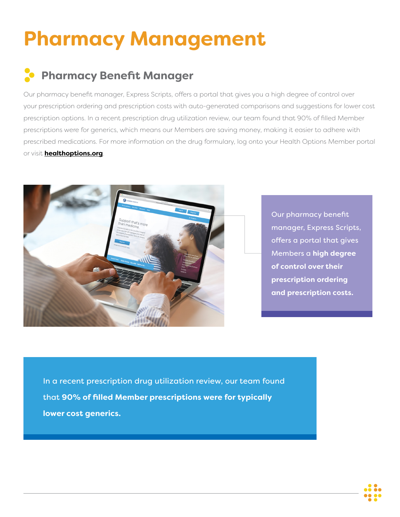## **Pharmacy Management**

## **Pharmacy Benefit Manager**

Our pharmacy benefit manager, Express Scripts, offers a portal that gives you a high degree of control over your prescription ordering and prescription costs with auto-generated comparisons and suggestions for lower cost prescription options. In a recent prescription drug utilization review, our team found that 90% of filled Member prescriptions were for generics, which means our Members are saving money, making it easier to adhere with prescribed medications. For more information on the drug formulary, log onto your Health Options Member portal or visit **[healthoptions.org](https://www.healthoptions.org/members/medications/)**.



Our pharmacy benefit manager, Express Scripts, offers a portal that gives Members a **high degree of control over their prescription ordering and prescription costs.**

In a recent prescription drug utilization review, our team found that **90% of filled Member prescriptions were for typically lower cost generics.**